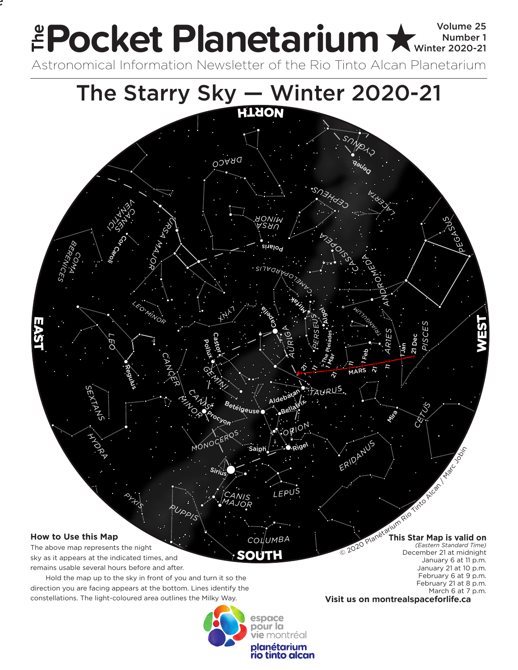## Pocket Planetarium **★ Winder 1** Volume 25 Number 1 **EPOCKET PIANETATIUM X** Winter 2020-21 **e**

.<br>.

Astronomical Information Newsletter of the Rio Tinto Alcan Planetarium



**vie** montréal planétarium rio tinto alcan